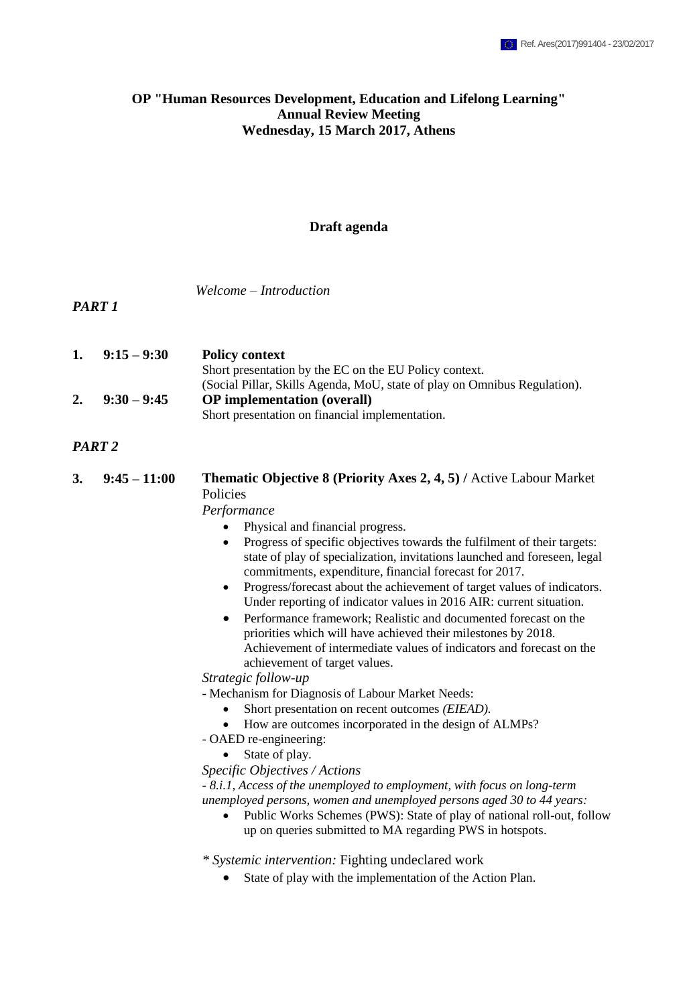## **OP "Human Resources Development, Education and Lifelong Learning" Annual Review Meeting Wednesday, 15 March 2017, Athens**

#### **Draft agenda**

*Welcome – Introduction*

*PART 1*

| 1. | $9:15 - 9:30$ | <b>Policy context</b>                                                     |
|----|---------------|---------------------------------------------------------------------------|
|    |               | Short presentation by the EC on the EU Policy context.                    |
|    |               | (Social Pillar, Skills Agenda, MoU, state of play on Omnibus Regulation). |
| 2. | $9:30 - 9:45$ | <b>OP</b> implementation (overall)                                        |
|    |               | Short presentation on financial implementation.                           |

*PART 2*

**3. 9:45 – 11:00 Thematic Objective 8 (Priority Axes 2, 4, 5) /** Active Labour Market Policies

*Performance*

- Physical and financial progress.
- Progress of specific objectives towards the fulfilment of their targets: state of play of specialization, invitations launched and foreseen, legal commitments, expenditure, financial forecast for 2017.
- Progress/forecast about the achievement of target values of indicators. Under reporting of indicator values in 2016 AIR: current situation.
- Performance framework; Realistic and documented forecast on the priorities which will have achieved their milestones by 2018. Achievement of intermediate values of indicators and forecast on the achievement of target values.

*Strategic follow-up* 

- Mechanism for Diagnosis of Labour Market Needs:

- Short presentation on recent outcomes *(EIEAD).*
- How are outcomes incorporated in the design of ALMPs?

- OAED re-engineering:

- State of play.
- *Specific Objectives / Actions*

*- 8.i.1, Access of the unemployed to employment, with focus on long-term unemployed persons, women and unemployed persons aged 30 to 44 years:*

• Public Works Schemes (PWS): State of play of national roll-out, follow up on queries submitted to MA regarding PWS in hotspots.

*\* Systemic intervention:* Fighting undeclared work

State of play with the implementation of the Action Plan.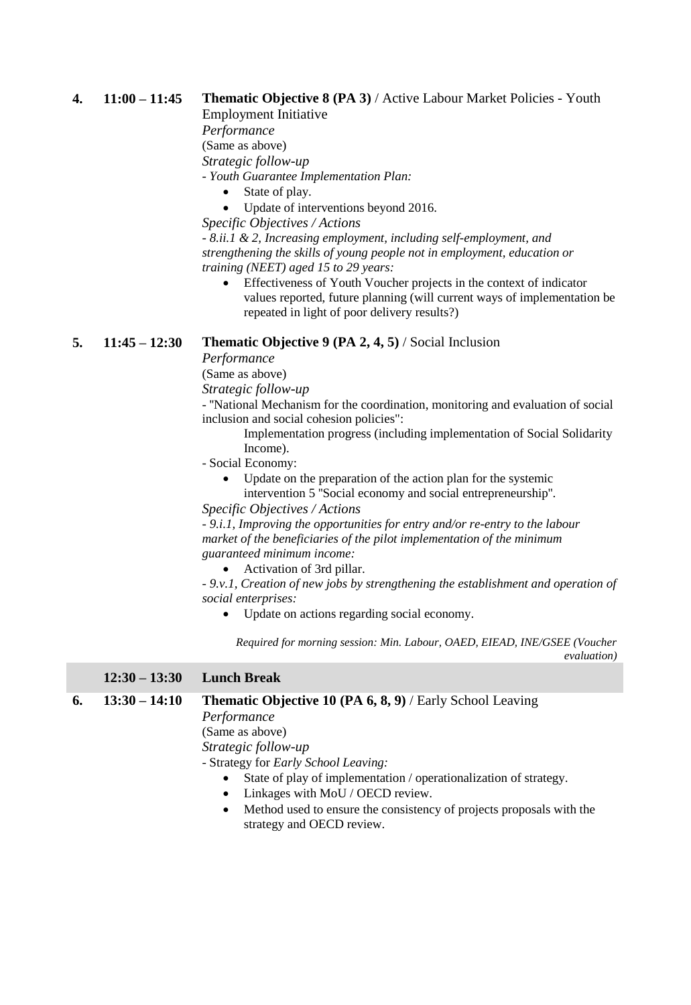## **4. 11:00 – 11:45 Thematic Objective 8 (PA 3)** / Active Labour Market Policies - Youth

Employment Initiative

*Performance* (Same as above)

*Strategic follow-up* 

*- Youth Guarantee Implementation Plan:*

- State of play.
- Update of interventions beyond 2016.

*Specific Objectives / Actions*

*- 8.ii.1 & 2, Increasing employment, including self-employment, and strengthening the skills of young people not in employment, education or training (NEET) aged 15 to 29 years:*

 Effectiveness of Youth Voucher projects in the context of indicator values reported, future planning (will current ways of implementation be repeated in light of poor delivery results?)

# **5. 11:45 – 12:30 Thematic Objective 9 (PA 2, 4, 5)** / Social Inclusion

*Performance*

(Same as above)

*Strategic follow-up* 

- ''National Mechanism for the coordination, monitoring and evaluation of social inclusion and social cohesion policies":

- Implementation progress (including implementation of Social Solidarity Income).
- Social Economy:
	- Update on the preparation of the action plan for the systemic intervention 5 ''Social economy and social entrepreneurship''.

*Specific Objectives / Actions*

*- 9.i.1, Improving the opportunities for entry and/or re-entry to the labour market of the beneficiaries of the pilot implementation of the minimum guaranteed minimum income:*

Activation of 3rd pillar.

*- 9.v.1, Creation of new jobs by strengthening the establishment and operation of social enterprises:*

Update on actions regarding social economy.

*Required for morning session: Min. Labour, OAED, EIEAD, INE/GSEE (Voucher evaluation)*

### **12:30 – 13:30 Lunch Break**

### **6. 13:30 – 14:10 Thematic Objective 10 (PA 6, 8, 9)** / Early School Leaving

*Performance*

(Same as above)

*Strategic follow-up* 

- Strategy for *Early School Leaving:*

- State of play of implementation / operationalization of strategy.
- Linkages with MoU / OECD review.
- Method used to ensure the consistency of projects proposals with the strategy and OECD review.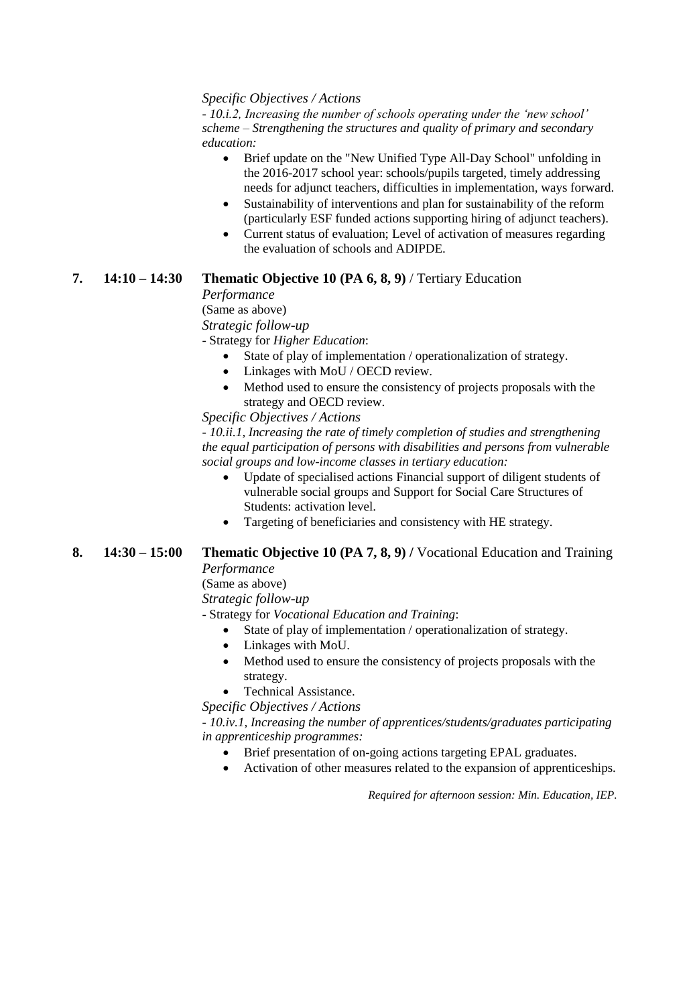#### *Specific Objectives / Actions*

*- 10.i.2, Increasing the number of schools operating under the 'new school' scheme – Strengthening the structures and quality of primary and secondary education:*

- Brief update on the "New Unified Type All-Day School" unfolding in the 2016-2017 school year: schools/pupils targeted, timely addressing needs for adjunct teachers, difficulties in implementation, ways forward.
- Sustainability of interventions and plan for sustainability of the reform (particularly ESF funded actions supporting hiring of adjunct teachers).
- Current status of evaluation; Level of activation of measures regarding the evaluation of schools and ADIPDE.

### **7. 14:10 – 14:30 Thematic Objective 10 (PA 6, 8, 9)** / Tertiary Education

*Performance*

(Same as above)

*Strategic follow-up* 

- Strategy for *Higher Education*:

- State of play of implementation / operationalization of strategy.
- Linkages with MoU / OECD review.
- Method used to ensure the consistency of projects proposals with the strategy and OECD review.

*Specific Objectives / Actions*

*- 10.ii.1, Increasing the rate of timely completion of studies and strengthening the equal participation of persons with disabilities and persons from vulnerable social groups and low-income classes in tertiary education:*

- Update of specialised actions Financial support of diligent students of vulnerable social groups and Support for Social Care Structures of Students: activation level.
- Targeting of beneficiaries and consistency with HE strategy.
- **8. 14:30 – 15:00 Thematic Objective 10 (PA 7, 8, 9) /** Vocational Education and Training

*Performance* (Same as above)

*Strategic follow-up* 

- Strategy for *Vocational Education and Training*:

- State of play of implementation / operationalization of strategy.
- Linkages with MoU.
- Method used to ensure the consistency of projects proposals with the strategy.

Technical Assistance.

*Specific Objectives / Actions*

*- 10.iv.1, Increasing the number of apprentices/students/graduates participating in apprenticeship programmes:*

- Brief presentation of on-going actions targeting EPAL graduates.
- Activation of other measures related to the expansion of apprenticeships.

*Required for afternoon session: Min. Education, IEP.*